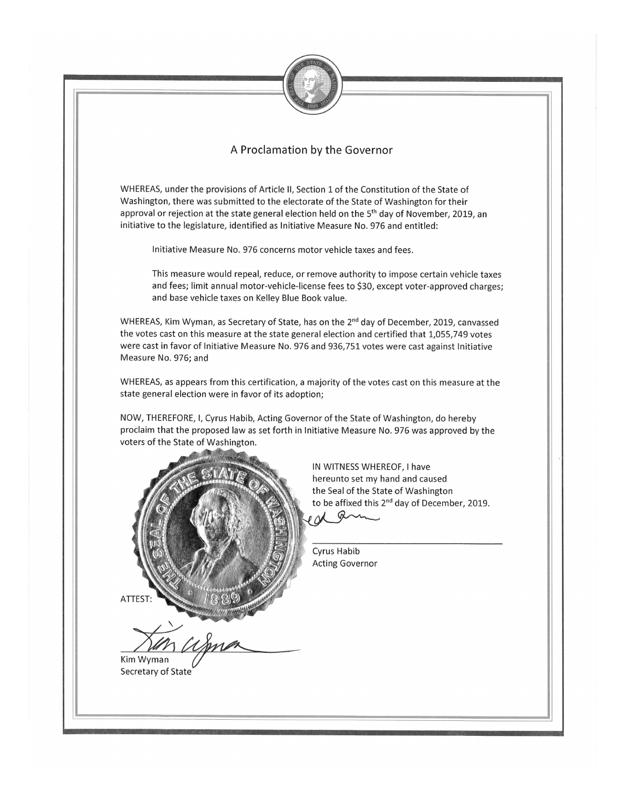

## A Proclamation by the Governor

WHEREAS, under the provisions of Article II, Section 1 of the Constitution of the State of Washington, there was submitted to the electorate of the State of Washington for their approval or rejection at the state general election held on the 5<sup>th</sup> day of November, 2019, an initiative to the legislature, identified as Initiative Measure No. 976 and entitled:

Initiative Measure No. 976 concerns motor vehicle taxes and fees.

This measure would repeal, reduce, or remove authority to impose certain vehicle taxes and fees; limit annual motor-vehicle-license fees to \$30, except voter-approved charges; and base vehicle taxes on Kelley Blue Book value.

WHEREAS, Kim Wyman, as Secretary of State, has on the 2<sup>nd</sup> day of December, 2019, canvassed the votes cast on this measure at the state general election and certified that 1,055,749 votes were cast in favor of Initiative Measure No. 976 and 936,751 votes were cast against Initiative Measure No. 976; and

WHEREAS, as appears from this certification, a majority of the votes cast on this measure at the state general election were in favor of its adoption;

NOW, THEREFORE, I, Cyrus Habib, Acting Governor of the State of Washington, do hereby proclaim that the proposed law as set forth in Initiative Measure No. 976 was approved by the voters of the State of Washington.



IN WITNESS WHEREOF, I have hereunto set my hand and caused the Seal of the State of Washington to be affixed this 2<sup>nd</sup> day of December, 2019.

Cyrus Habib **Acting Governor** 

Q

Kim Wyman Secretary of State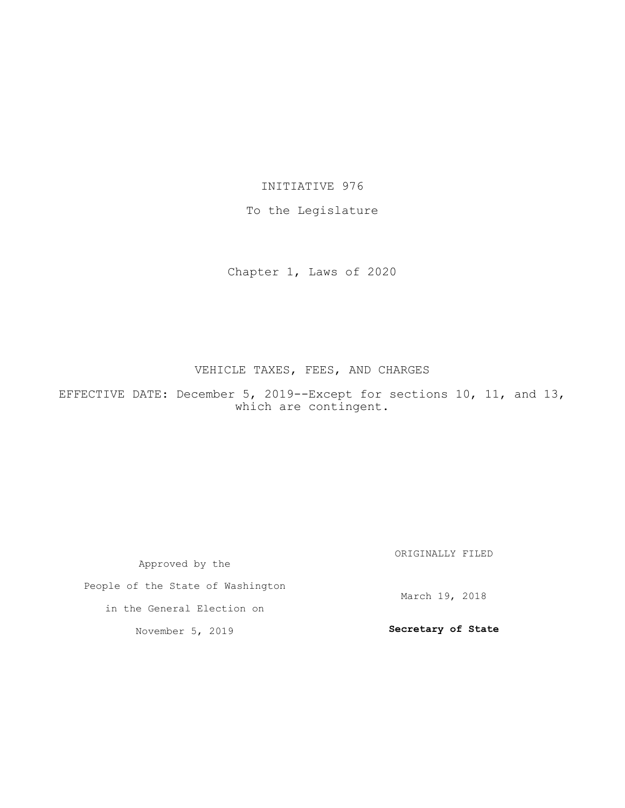### INITIATIVE 976

### To the Legislature

Chapter 1, Laws of 2020

## VEHICLE TAXES, FEES, AND CHARGES

EFFECTIVE DATE: December 5, 2019--Except for sections 10, 11, and 13, which are contingent.

| Approved by the                   | ORIGINALLY FILED   |
|-----------------------------------|--------------------|
| People of the State of Washington | March 19, 2018     |
| in the General Election on        |                    |
| November 5, 2019                  | Secretary of State |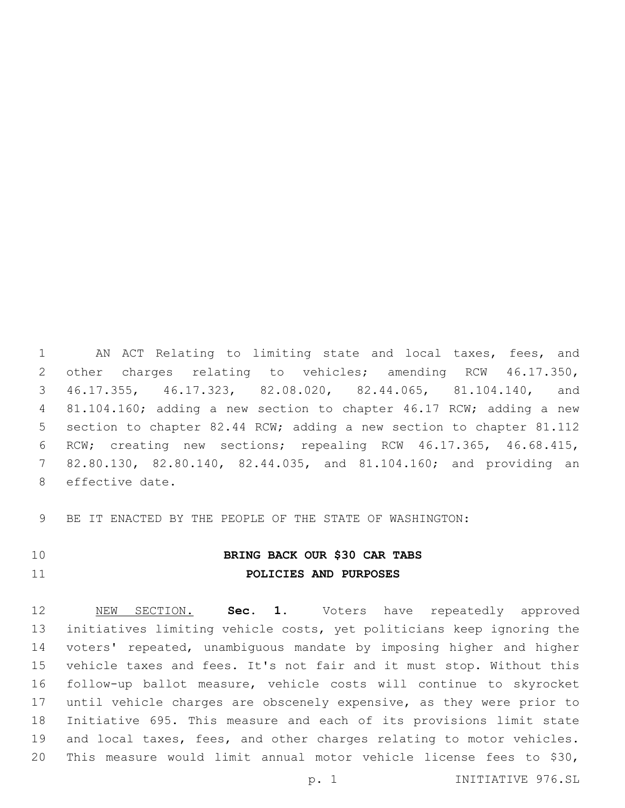AN ACT Relating to limiting state and local taxes, fees, and other charges relating to vehicles; amending RCW 46.17.350, 46.17.355, 46.17.323, 82.08.020, 82.44.065, 81.104.140, and 81.104.160; adding a new section to chapter 46.17 RCW; adding a new section to chapter 82.44 RCW; adding a new section to chapter 81.112 RCW; creating new sections; repealing RCW 46.17.365, 46.68.415, 82.80.130, 82.80.140, 82.44.035, and 81.104.160; and providing an 8 effective date.

BE IT ENACTED BY THE PEOPLE OF THE STATE OF WASHINGTON:

# **BRING BACK OUR \$30 CAR TABS POLICIES AND PURPOSES**

 NEW SECTION. **Sec. 1.** Voters have repeatedly approved initiatives limiting vehicle costs, yet politicians keep ignoring the voters' repeated, unambiguous mandate by imposing higher and higher vehicle taxes and fees. It's not fair and it must stop. Without this follow-up ballot measure, vehicle costs will continue to skyrocket until vehicle charges are obscenely expensive, as they were prior to Initiative 695. This measure and each of its provisions limit state and local taxes, fees, and other charges relating to motor vehicles. This measure would limit annual motor vehicle license fees to \$30,

p. 1 INITIATIVE 976.SL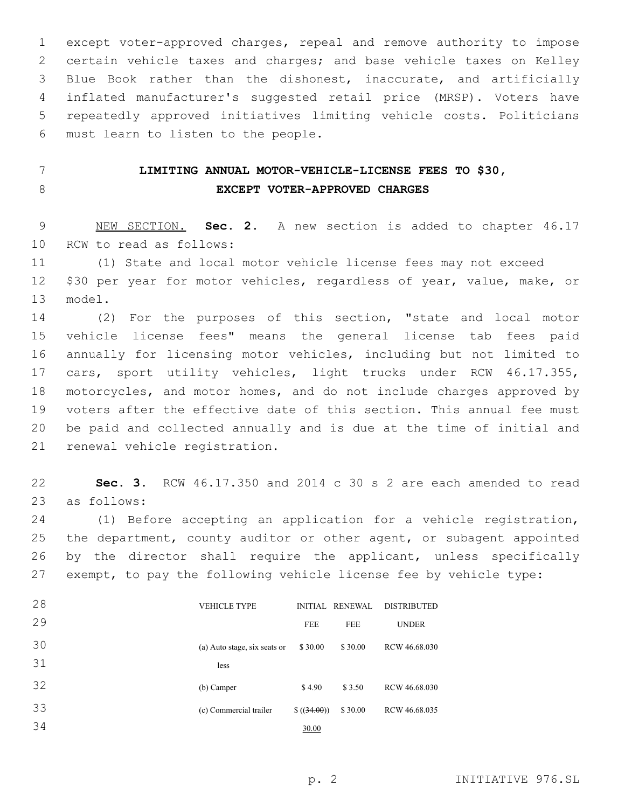except voter-approved charges, repeal and remove authority to impose certain vehicle taxes and charges; and base vehicle taxes on Kelley Blue Book rather than the dishonest, inaccurate, and artificially inflated manufacturer's suggested retail price (MRSP). Voters have repeatedly approved initiatives limiting vehicle costs. Politicians 6 must learn to listen to the people.

# **LIMITING ANNUAL MOTOR-VEHICLE-LICENSE FEES TO \$30, EXCEPT VOTER-APPROVED CHARGES**

 NEW SECTION. **Sec. 2.** A new section is added to chapter 46.17 10 RCW to read as follows:

 (1) State and local motor vehicle license fees may not exceed \$30 per year for motor vehicles, regardless of year, value, make, or 13 model.

 (2) For the purposes of this section, "state and local motor vehicle license fees" means the general license tab fees paid annually for licensing motor vehicles, including but not limited to cars, sport utility vehicles, light trucks under RCW 46.17.355, motorcycles, and motor homes, and do not include charges approved by voters after the effective date of this section. This annual fee must be paid and collected annually and is due at the time of initial and 21 renewal vehicle registration.

 **Sec. 3.** RCW 46.17.350 and 2014 c 30 s 2 are each amended to read as follows:23

 (1) Before accepting an application for a vehicle registration, the department, county auditor or other agent, or subagent appointed by the director shall require the applicant, unless specifically exempt, to pay the following vehicle license fee by vehicle type:

| 28 | <b>VEHICLE TYPE</b>          |            | INITIAL RENEWAL | <b>DISTRIBUTED</b> |
|----|------------------------------|------------|-----------------|--------------------|
| 29 |                              | <b>FEE</b> | <b>FEE</b>      | <b>UNDER</b>       |
| 30 | (a) Auto stage, six seats or | \$30.00    | \$30.00         | RCW 46.68.030      |
| 31 | less                         |            |                 |                    |
| 32 | (b) Camper                   | \$4.90     | \$3.50          | RCW 46.68.030      |
| 33 | (c) Commercial trailer       | \$(34.00)  | \$30.00         | RCW 46.68.035      |
| 34 |                              | 30.00      |                 |                    |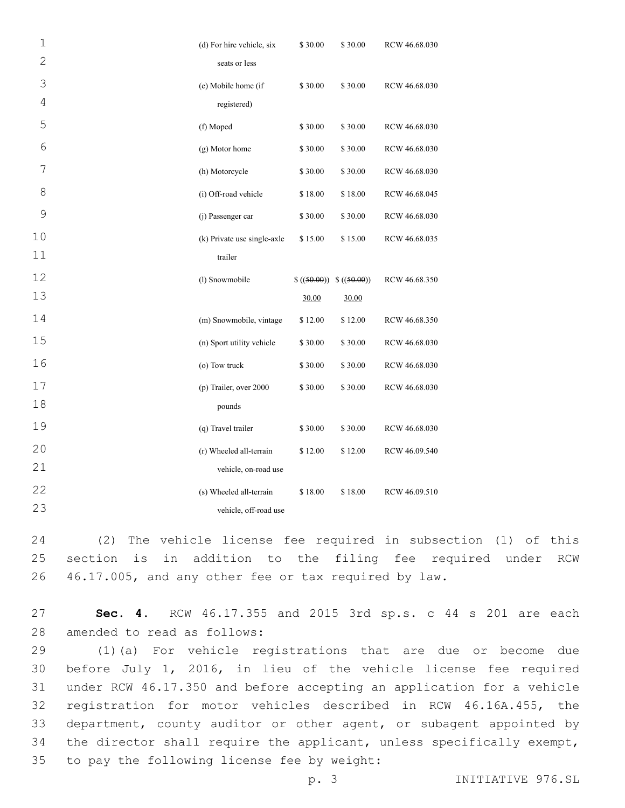| $\mathbf 1$    | (d) For hire vehicle, six   | \$30.00                  | \$30.00 | RCW 46.68.030 |  |
|----------------|-----------------------------|--------------------------|---------|---------------|--|
| $\overline{c}$ | seats or less               |                          |         |               |  |
| 3              | (e) Mobile home (if         | \$30.00                  | \$30.00 | RCW 46.68.030 |  |
| 4              | registered)                 |                          |         |               |  |
| 5              | (f) Moped                   | \$30.00                  | \$30.00 | RCW 46.68.030 |  |
| 6              | (g) Motor home              | \$30.00                  | \$30.00 | RCW 46.68.030 |  |
| 7              | (h) Motorcycle              | \$30.00                  | \$30.00 | RCW 46.68.030 |  |
| 8              | (i) Off-road vehicle        | \$18.00                  | \$18.00 | RCW 46.68.045 |  |
| $\mathsf 9$    | (j) Passenger car           | \$30.00                  | \$30.00 | RCW 46.68.030 |  |
| 10             | (k) Private use single-axle | \$15.00                  | \$15.00 | RCW 46.68.035 |  |
| 11             | trailer                     |                          |         |               |  |
| 12             | (l) Snowmobile              | $$((50.00)) \$((50.00))$ |         | RCW 46.68.350 |  |
| 13             |                             | 30.00                    | 30.00   |               |  |
| 14             | (m) Snowmobile, vintage     | \$12.00                  | \$12.00 | RCW 46.68.350 |  |
| 15             | (n) Sport utility vehicle   | \$30.00                  | \$30.00 | RCW 46.68.030 |  |
| 16             | (o) Tow truck               | \$30.00                  | \$30.00 | RCW 46.68.030 |  |
| $17$           | (p) Trailer, over 2000      | \$30.00                  | \$30.00 | RCW 46.68.030 |  |
| 18             | pounds                      |                          |         |               |  |
| 19             | (q) Travel trailer          | \$30.00                  | \$30.00 | RCW 46.68.030 |  |
| 20             | (r) Wheeled all-terrain     | \$12.00                  | \$12.00 | RCW 46.09.540 |  |
| 21             | vehicle, on-road use        |                          |         |               |  |
| 22             | (s) Wheeled all-terrain     | \$18.00                  | \$18.00 | RCW 46.09.510 |  |
| 23             | vehicle, off-road use       |                          |         |               |  |

24 (2) The vehicle license fee required in subsection (1) of this 25 section is in addition to the filing fee required under RCW 26 46.17.005, and any other fee or tax required by law.

27 **Sec. 4.** RCW 46.17.355 and 2015 3rd sp.s. c 44 s 201 are each 28 amended to read as follows:

 (1)(a) For vehicle registrations that are due or become due before July 1, 2016, in lieu of the vehicle license fee required under RCW 46.17.350 and before accepting an application for a vehicle registration for motor vehicles described in RCW 46.16A.455, the department, county auditor or other agent, or subagent appointed by 34 the director shall require the applicant, unless specifically exempt, 35 to pay the following license fee by weight:

p. 3 INITIATIVE 976.SL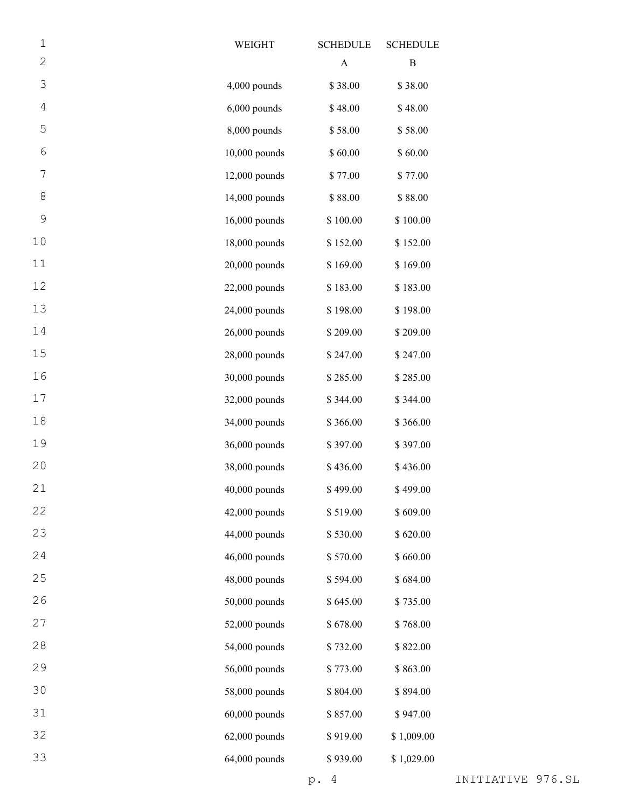| $\mathbf 1$ | WEIGHT          | <b>SCHEDULE</b> | <b>SCHEDULE</b> |
|-------------|-----------------|-----------------|-----------------|
| $\mathbf 2$ |                 | A               | B               |
| 3           | 4,000 pounds    | \$38.00         | \$38.00         |
| 4           | $6,000$ pounds  | \$48.00         | \$48.00         |
| 5           | 8,000 pounds    | \$58.00         | \$58.00         |
| 6           | 10,000 pounds   | \$60.00         | \$60.00         |
| 7           | 12,000 pounds   | \$77.00         | \$77.00         |
| 8           | 14,000 pounds   | \$88.00         | \$88.00         |
| 9           | 16,000 pounds   | \$100.00        | \$100.00        |
| 10          | 18,000 pounds   | \$152.00        | \$152.00        |
| 11          | 20,000 pounds   | \$169.00        | \$169.00        |
| 12          | 22,000 pounds   | \$183.00        | \$183.00        |
| 13          | 24,000 pounds   | \$198.00        | \$198.00        |
| 14          | 26,000 pounds   | \$209.00        | \$209.00        |
| 15          | 28,000 pounds   | \$247.00        | \$247.00        |
| 16          | 30,000 pounds   | \$285.00        | \$285.00        |
| 17          | 32,000 pounds   | \$344.00        | \$344.00        |
| 18          | 34,000 pounds   | \$366.00        | \$366.00        |
| 19          | 36,000 pounds   | \$397.00        | \$397.00        |
| 20          | 38,000 pounds   | \$436.00        | \$436.00        |
| 21          | $40,000$ pounds | \$499.00        | \$499.00        |
| 22          | 42,000 pounds   | \$519.00        | \$609.00        |
| 23          | 44,000 pounds   | \$530.00        | \$620.00        |
| 24          | 46,000 pounds   | \$570.00        | \$660.00        |
| 25          | 48,000 pounds   | \$594.00        | \$684.00        |
| 26          | 50,000 pounds   | \$645.00        | \$735.00        |
| 27          | 52,000 pounds   | \$678.00        | \$768.00        |
| 28          | 54,000 pounds   | \$732.00        | \$822.00        |
| 29          | 56,000 pounds   | \$773.00        | \$863.00        |
| 30          | 58,000 pounds   | \$804.00        | \$894.00        |
| 31          | $60,000$ pounds | \$857.00        | \$947.00        |
| 32          | $62,000$ pounds | \$919.00        | \$1,009.00      |
| 33          | 64,000 pounds   | \$939.00        | \$1,029.00      |
|             |                 |                 |                 |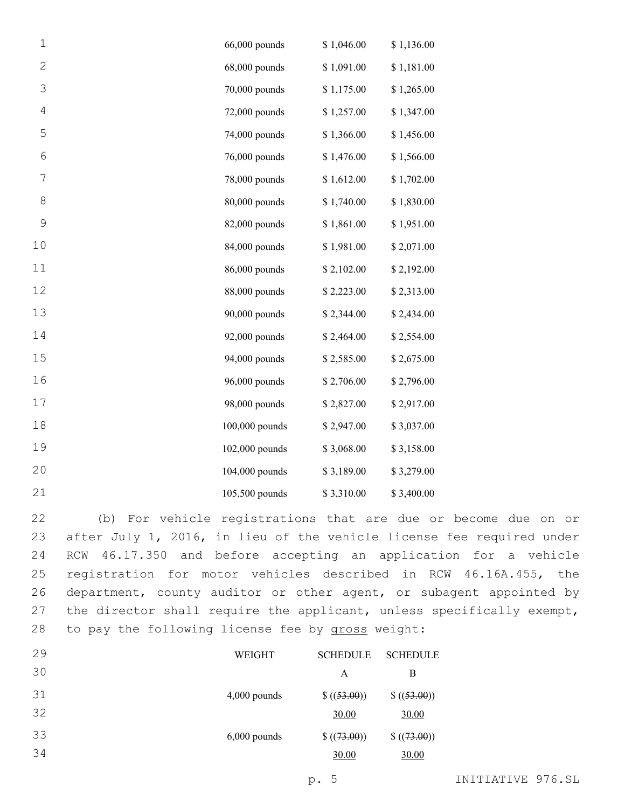| $\mathbf 1$  | 66,000 pounds  | \$1,046.00 | \$1,136.00 |
|--------------|----------------|------------|------------|
| $\mathbf{2}$ | 68,000 pounds  | \$1,091.00 | \$1,181.00 |
| 3            | 70,000 pounds  | \$1,175.00 | \$1,265.00 |
| $\sqrt{4}$   | 72,000 pounds  | \$1,257.00 | \$1,347.00 |
| 5            | 74,000 pounds  | \$1,366.00 | \$1,456.00 |
| 6            | 76,000 pounds  | \$1,476.00 | \$1,566.00 |
| 7            | 78,000 pounds  | \$1,612.00 | \$1,702.00 |
| 8            | 80,000 pounds  | \$1,740.00 | \$1,830.00 |
| 9            | 82,000 pounds  | \$1,861.00 | \$1,951.00 |
| 10           | 84,000 pounds  | \$1,981.00 | \$2,071.00 |
| 11           | 86,000 pounds  | \$2,102.00 | \$2,192.00 |
| 12           | 88,000 pounds  | \$2,223.00 | \$2,313.00 |
| 13           | 90,000 pounds  | \$2,344.00 | \$2,434.00 |
| 14           | 92,000 pounds  | \$2,464.00 | \$2,554.00 |
| 15           | 94,000 pounds  | \$2,585.00 | \$2,675.00 |
| 16           | 96,000 pounds  | \$2,706.00 | \$2,796.00 |
| 17           | 98,000 pounds  | \$2,827.00 | \$2,917.00 |
| 18           | 100,000 pounds | \$2,947.00 | \$3,037.00 |
| 19           | 102,000 pounds | \$3,068.00 | \$3,158.00 |
| 20           | 104,000 pounds | \$3,189.00 | \$3,279.00 |
| 21           | 105,500 pounds | \$3,310.00 | \$3,400.00 |

 (b) For vehicle registrations that are due or become due on or after July 1, 2016, in lieu of the vehicle license fee required under RCW 46.17.350 and before accepting an application for a vehicle registration for motor vehicles described in RCW 46.16A.455, the department, county auditor or other agent, or subagent appointed by the director shall require the applicant, unless specifically exempt, 28 to pay the following license fee by gross weight:

| 29 | WEIGHT         | <b>SCHEDULE</b> | <b>SCHEDULE</b> |
|----|----------------|-----------------|-----------------|
| 30 |                | А               | В               |
| 31 | $4,000$ pounds | \$((53.00))     | \$((53.00))     |
| 32 |                | 30.00           | 30.00           |
| 33 | $6,000$ pounds | \$((73.00))     | \$((73.00))     |
| 34 |                | 30.00           | 30.00           |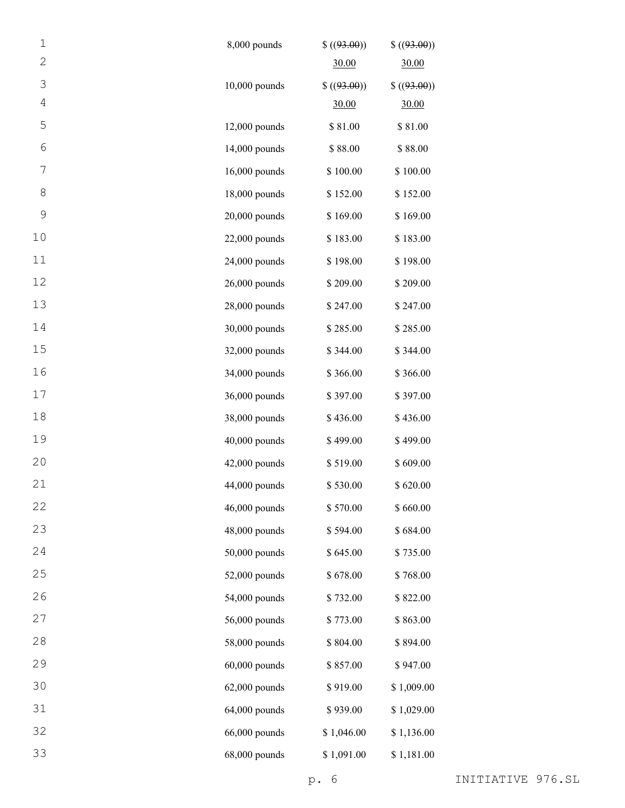| $\mathbf 1$    | 8,000 pounds    | \$( (93.00) ) | \$(93.00)     |
|----------------|-----------------|---------------|---------------|
| $\overline{2}$ |                 | 30.00         | 30.00         |
| 3              | $10,000$ pounds | \$( (93.00))  | \$( (93.00) ) |
| 4              |                 | 30.00         | 30.00         |
| 5              | $12,000$ pounds | \$81.00       | \$81.00       |
| 6              | 14,000 pounds   | \$88.00       | \$88.00       |
| 7              | 16,000 pounds   | \$100.00      | \$100.00      |
| 8              | 18,000 pounds   | \$152.00      | \$152.00      |
| 9              | 20,000 pounds   | \$169.00      | \$169.00      |
| 10             | $22,000$ pounds | \$183.00      | \$183.00      |
| 11             | 24,000 pounds   | \$198.00      | \$198.00      |
| 12             | 26,000 pounds   | \$209.00      | \$209.00      |
| 13             | 28,000 pounds   | \$247.00      | \$247.00      |
| 14             | 30,000 pounds   | \$285.00      | \$285.00      |
| 15             | 32,000 pounds   | \$344.00      | \$344.00      |
| 16             | 34,000 pounds   | \$366.00      | \$366.00      |
| 17             | 36,000 pounds   | \$397.00      | \$397.00      |
| 18             | 38,000 pounds   | \$436.00      | \$436.00      |
| 19             | 40,000 pounds   | \$499.00      | \$499.00      |
| 20             | 42,000 pounds   | \$519.00      | \$609.00      |
| 21             | 44,000 pounds   | \$530.00      | \$620.00      |
| 22             | 46,000 pounds   | \$570.00      | \$660.00      |
| 23             | 48,000 pounds   | \$594.00      | \$684.00      |
| 24             | 50,000 pounds   | \$645.00      | \$735.00      |
| 25             | 52,000 pounds   | \$678.00      | \$768.00      |
| 26             | 54,000 pounds   | \$732.00      | \$822.00      |
| 27             | 56,000 pounds   | \$773.00      | \$863.00      |
| 28             | 58,000 pounds   | \$804.00      | \$894.00      |
| 29             | $60,000$ pounds | \$857.00      | \$947.00      |
| 30             | $62,000$ pounds | \$919.00      | \$1,009.00    |
| 31             | 64,000 pounds   | \$939.00      | \$1,029.00    |
| 32             | 66,000 pounds   | \$1,046.00    | \$1,136.00    |
| 33             | 68,000 pounds   | \$1,091.00    | \$1,181.00    |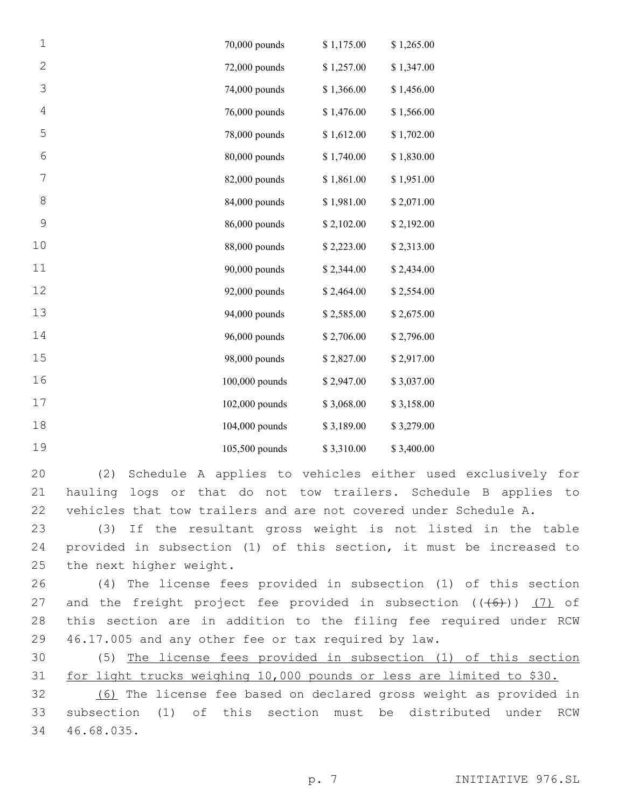| $\mathbf 1$  | 70,000 pounds  | \$1,175.00 | \$1,265.00 |
|--------------|----------------|------------|------------|
| $\mathbf{2}$ | 72,000 pounds  | \$1,257.00 | \$1,347.00 |
| 3            | 74,000 pounds  | \$1,366.00 | \$1,456.00 |
| 4            | 76,000 pounds  | \$1,476.00 | \$1,566.00 |
| 5            | 78,000 pounds  | \$1,612.00 | \$1,702.00 |
| 6            | 80,000 pounds  | \$1,740.00 | \$1,830.00 |
| 7            | 82,000 pounds  | \$1,861.00 | \$1,951.00 |
| 8            | 84,000 pounds  | \$1,981.00 | \$2,071.00 |
| 9            | 86,000 pounds  | \$2,102.00 | \$2,192.00 |
| 10           | 88,000 pounds  | \$2,223.00 | \$2,313.00 |
| 11           | 90,000 pounds  | \$2,344.00 | \$2,434.00 |
| 12           | 92,000 pounds  | \$2,464.00 | \$2,554.00 |
| 13           | 94,000 pounds  | \$2,585.00 | \$2,675.00 |
| 14           | 96,000 pounds  | \$2,706.00 | \$2,796.00 |
| 15           | 98,000 pounds  | \$2,827.00 | \$2,917.00 |
| 16           | 100,000 pounds | \$2,947.00 | \$3,037.00 |
| 17           | 102,000 pounds | \$3,068.00 | \$3,158.00 |
| 18           | 104,000 pounds | \$3,189.00 | \$3,279.00 |
| 19           | 105,500 pounds | \$3,310.00 | \$3,400.00 |

 (2) Schedule A applies to vehicles either used exclusively for hauling logs or that do not tow trailers. Schedule B applies to vehicles that tow trailers and are not covered under Schedule A.

 (3) If the resultant gross weight is not listed in the table provided in subsection (1) of this section, it must be increased to 25 the next higher weight.

 (4) The license fees provided in subsection (1) of this section 27 and the freight project fee provided in subsection  $((+6))$  (7) of this section are in addition to the filing fee required under RCW 46.17.005 and any other fee or tax required by law.

 (5) The license fees provided in subsection (1) of this section for light trucks weighing 10,000 pounds or less are limited to \$30.

 (6) The license fee based on declared gross weight as provided in subsection (1) of this section must be distributed under RCW 46.68.035.34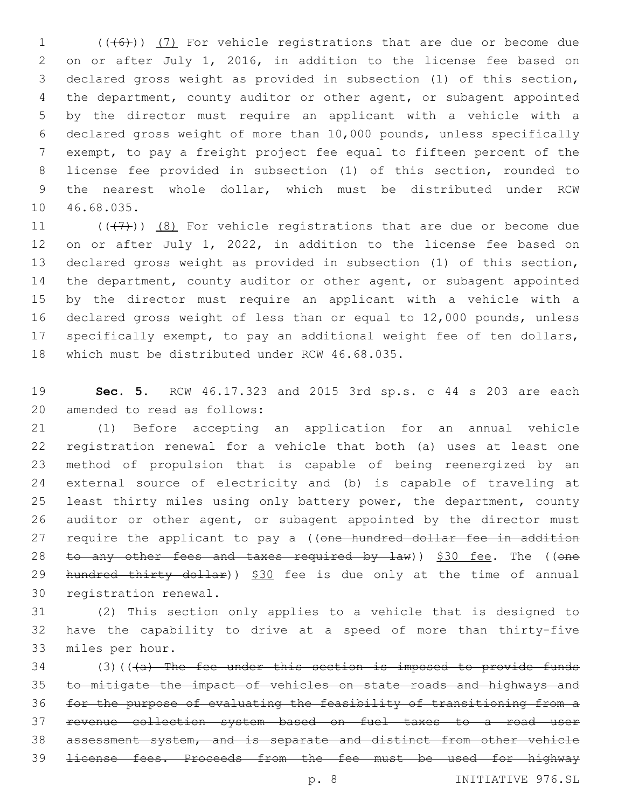(( $(6)$ )) (7) For vehicle registrations that are due or become due on or after July 1, 2016, in addition to the license fee based on declared gross weight as provided in subsection (1) of this section, the department, county auditor or other agent, or subagent appointed by the director must require an applicant with a vehicle with a declared gross weight of more than 10,000 pounds, unless specifically exempt, to pay a freight project fee equal to fifteen percent of the license fee provided in subsection (1) of this section, rounded to the nearest whole dollar, which must be distributed under RCW 10 46.68.035.

 $((+7+))$   $(8)$  For vehicle registrations that are due or become due on or after July 1, 2022, in addition to the license fee based on declared gross weight as provided in subsection (1) of this section, the department, county auditor or other agent, or subagent appointed by the director must require an applicant with a vehicle with a declared gross weight of less than or equal to 12,000 pounds, unless specifically exempt, to pay an additional weight fee of ten dollars, 18 which must be distributed under RCW 46.68.035.

 **Sec. 5.** RCW 46.17.323 and 2015 3rd sp.s. c 44 s 203 are each 20 amended to read as follows:

 (1) Before accepting an application for an annual vehicle registration renewal for a vehicle that both (a) uses at least one method of propulsion that is capable of being reenergized by an external source of electricity and (b) is capable of traveling at least thirty miles using only battery power, the department, county auditor or other agent, or subagent appointed by the director must 27 require the applicant to pay a ((one hundred dollar fee in addition 28 to any other fees and taxes required by law)) \$30 fee. The ((one 29 hundred thirty dollar)) \$30 fee is due only at the time of annual 30 registration renewal.

 (2) This section only applies to a vehicle that is designed to have the capability to drive at a speed of more than thirty-five 33 miles per hour.

 (3)(( $\overline{(a)}$  The fee under this section is imposed to provide funds to mitigate the impact of vehicles on state roads and highways and for the purpose of evaluating the feasibility of transitioning from a revenue collection system based on fuel taxes to a road user assessment system, and is separate and distinct from other vehicle license fees. Proceeds from the fee must be used for highway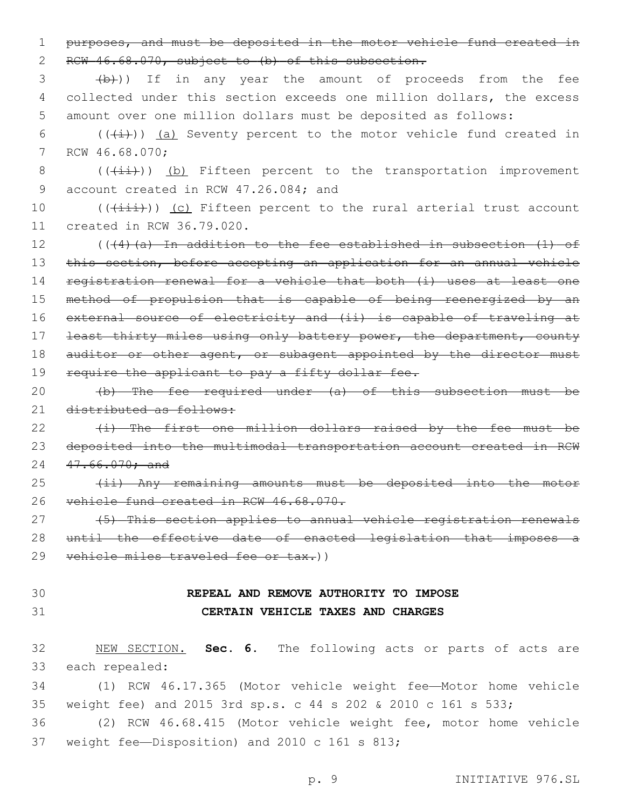1 purposes, and must be deposited in the motor vehicle fund created in 2 RCW 46.68.070, subject to (b) of this subsection.

3 (b)) If in any year the amount of proceeds from the fee 4 collected under this section exceeds one million dollars, the excess 5 amount over one million dollars must be deposited as follows:

6 ( $(\frac{1}{i})$ ) (a) Seventy percent to the motor vehicle fund created in 7 RCW 46.68.070;

8  $((\overrightarrow{4i}))()$  (b) Fifteen percent to the transportation improvement 9 account created in RCW 47.26.084; and

10 (((iii))) (c) Fifteen percent to the rural arterial trust account 11 created in RCW 36.79.020.

12 (((4)(a) In addition to the fee established in subsection (1) of 13 this section, before accepting an application for an annual vehicle 14 registration renewal for a vehicle that both (i) uses at least one 15 method of propulsion that is capable of being reenergized by an 16 external source of electricity and (ii) is capable of traveling at 17 <del>least thirty miles using only battery power, the department, county</del> 18 auditor or other agent, or subagent appointed by the director must 19 require the applicant to pay a fifty dollar fee.

20 (b) The fee required under (a) of this subsection must be 21 distributed as follows:

22 (i) The first one million dollars raised by the fee must be 23 deposited into the multimodal transportation account created in RCW 24 47.66.070; and

25 (ii) Any remaining amounts must be deposited into the motor 26 vehicle fund created in RCW 46.68.070.

27 (5) This section applies to annual vehicle registration renewals 28 until the effective date of enacted legislation that imposes a 29 vehicle miles traveled fee or tax.))

## 30 **REPEAL AND REMOVE AUTHORITY TO IMPOSE** 31 **CERTAIN VEHICLE TAXES AND CHARGES**

32 NEW SECTION. **Sec. 6.** The following acts or parts of acts are 33 each repealed:

34 (1) RCW 46.17.365 (Motor vehicle weight fee—Motor home vehicle 35 weight fee) and 2015 3rd sp.s. c 44 s 202 & 2010 c 161 s 533;

36 (2) RCW 46.68.415 (Motor vehicle weight fee, motor home vehicle 37 weight fee-Disposition) and 2010 c 161 s 813;

p. 9 INITIATIVE 976.SL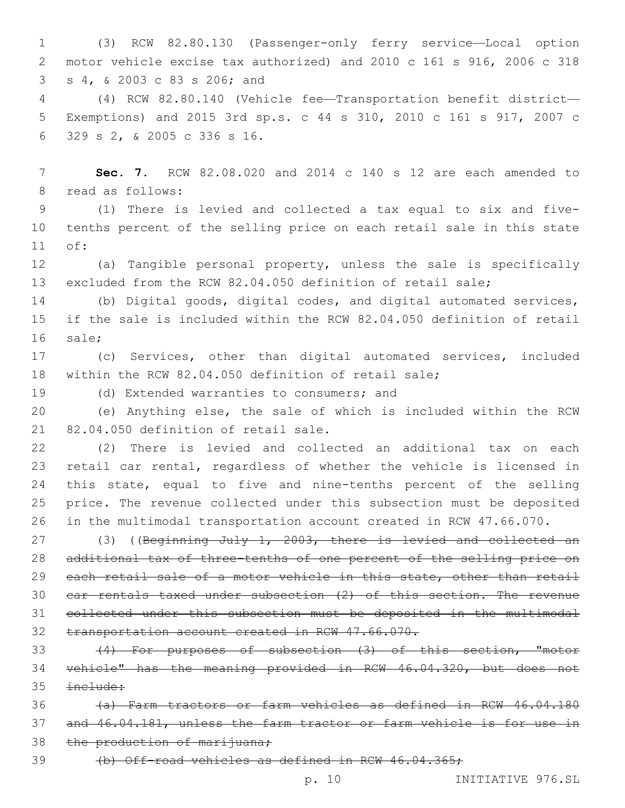(3) RCW 82.80.130 (Passenger-only ferry service—Local option motor vehicle excise tax authorized) and 2010 c 161 s 916, 2006 c 318 s 4, & 2003 c 83 s 206; and3

 (4) RCW 82.80.140 (Vehicle fee—Transportation benefit district— Exemptions) and 2015 3rd sp.s. c 44 s 310, 2010 c 161 s 917, 2007 c 329 s 2, & 2005 c 336 s 16.6

 **Sec. 7.** RCW 82.08.020 and 2014 c 140 s 12 are each amended to 8 read as follows:

 (1) There is levied and collected a tax equal to six and five- tenths percent of the selling price on each retail sale in this state 11 of:

 (a) Tangible personal property, unless the sale is specifically excluded from the RCW 82.04.050 definition of retail sale;

 (b) Digital goods, digital codes, and digital automated services, if the sale is included within the RCW 82.04.050 definition of retail 16 sale:

 (c) Services, other than digital automated services, included within the RCW 82.04.050 definition of retail sale;

19 (d) Extended warranties to consumers; and

 (e) Anything else, the sale of which is included within the RCW  $82.04.050$  definition of retail sale.

 (2) There is levied and collected an additional tax on each retail car rental, regardless of whether the vehicle is licensed in 24 this state, equal to five and nine-tenths percent of the selling price. The revenue collected under this subsection must be deposited in the multimodal transportation account created in RCW 47.66.070.

27 (3) ((Beginning July 1, 2003, there is levied and collected an additional tax of three-tenths of one percent of the selling price on 29 each retail sale of a motor vehicle in this state, other than retail car rentals taxed under subsection (2) of this section. The revenue collected under this subsection must be deposited in the multimodal transportation account created in RCW 47.66.070.

 (4) For purposes of subsection (3) of this section, "motor vehicle" has the meaning provided in RCW 46.04.320, but does not  $\text{incluster}$ 

 (a) Farm tractors or farm vehicles as defined in RCW 46.04.180 and 46.04.181, unless the farm tractor or farm vehicle is for use in 38 the production of marijuana;

(b) Off-road vehicles as defined in RCW 46.04.365;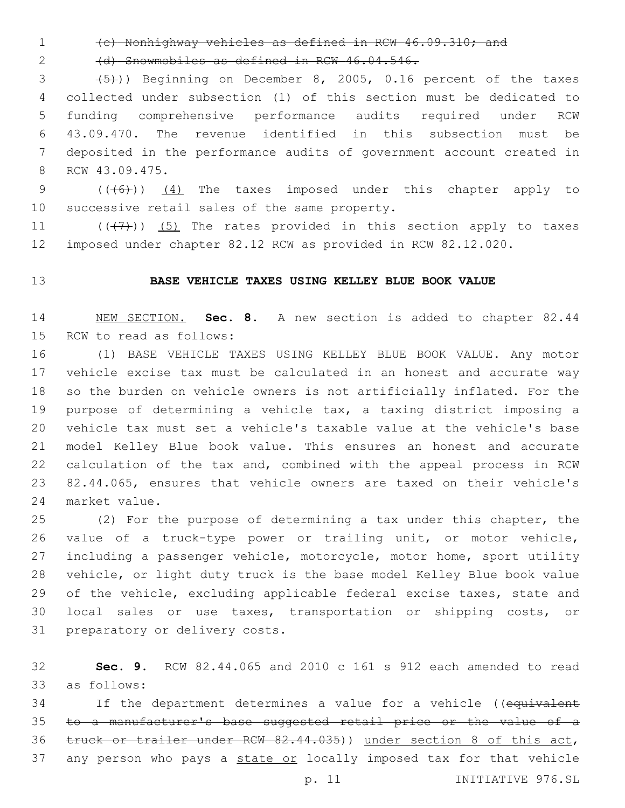(c) Nonhighway vehicles as defined in RCW 46.09.310; and

(d) Snowmobiles as defined in RCW 46.04.546.

 $(3 +5)$ ) Beginning on December 8, 2005, 0.16 percent of the taxes collected under subsection (1) of this section must be dedicated to funding comprehensive performance audits required under RCW 43.09.470. The revenue identified in this subsection must be deposited in the performance audits of government account created in 8 RCW 43.09.475.

9  $((\text{(+6)}))$   $(4)$  The taxes imposed under this chapter apply to 10 successive retail sales of the same property.

11  $((+7+))$  (5) The rates provided in this section apply to taxes imposed under chapter 82.12 RCW as provided in RCW 82.12.020.

### **BASE VEHICLE TAXES USING KELLEY BLUE BOOK VALUE**

 NEW SECTION. **Sec. 8.** A new section is added to chapter 82.44 15 RCW to read as follows:

 (1) BASE VEHICLE TAXES USING KELLEY BLUE BOOK VALUE. Any motor vehicle excise tax must be calculated in an honest and accurate way so the burden on vehicle owners is not artificially inflated. For the purpose of determining a vehicle tax, a taxing district imposing a vehicle tax must set a vehicle's taxable value at the vehicle's base model Kelley Blue book value. This ensures an honest and accurate calculation of the tax and, combined with the appeal process in RCW 82.44.065, ensures that vehicle owners are taxed on their vehicle's 24 market value.

 (2) For the purpose of determining a tax under this chapter, the value of a truck-type power or trailing unit, or motor vehicle, including a passenger vehicle, motorcycle, motor home, sport utility vehicle, or light duty truck is the base model Kelley Blue book value 29 of the vehicle, excluding applicable federal excise taxes, state and local sales or use taxes, transportation or shipping costs, or 31 preparatory or delivery costs.

 **Sec. 9.** RCW 82.44.065 and 2010 c 161 s 912 each amended to read as follows:33

34 If the department determines a value for a vehicle ((equivalent 35 to a manufacturer's base suggested retail price or the value of a truck or trailer under RCW 82.44.035)) under section 8 of this act, 37 any person who pays a state or locally imposed tax for that vehicle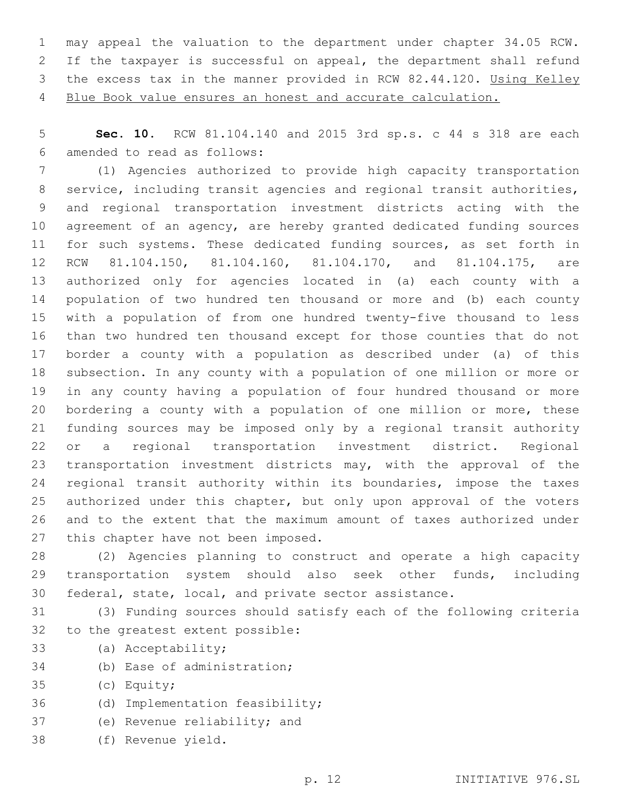may appeal the valuation to the department under chapter 34.05 RCW. If the taxpayer is successful on appeal, the department shall refund the excess tax in the manner provided in RCW 82.44.120. Using Kelley Blue Book value ensures an honest and accurate calculation.

 **Sec. 10.** RCW 81.104.140 and 2015 3rd sp.s. c 44 s 318 are each amended to read as follows:6

 (1) Agencies authorized to provide high capacity transportation service, including transit agencies and regional transit authorities, and regional transportation investment districts acting with the agreement of an agency, are hereby granted dedicated funding sources for such systems. These dedicated funding sources, as set forth in RCW 81.104.150, 81.104.160, 81.104.170, and 81.104.175, are authorized only for agencies located in (a) each county with a population of two hundred ten thousand or more and (b) each county with a population of from one hundred twenty-five thousand to less than two hundred ten thousand except for those counties that do not border a county with a population as described under (a) of this subsection. In any county with a population of one million or more or in any county having a population of four hundred thousand or more bordering a county with a population of one million or more, these funding sources may be imposed only by a regional transit authority or a regional transportation investment district. Regional transportation investment districts may, with the approval of the regional transit authority within its boundaries, impose the taxes authorized under this chapter, but only upon approval of the voters and to the extent that the maximum amount of taxes authorized under 27 this chapter have not been imposed.

 (2) Agencies planning to construct and operate a high capacity transportation system should also seek other funds, including federal, state, local, and private sector assistance.

 (3) Funding sources should satisfy each of the following criteria 32 to the greatest extent possible:

- 33 (a) Acceptability;
- 34 (b) Ease of administration;
- 35 (c) Equity;
- 36 (d) Implementation feasibility;
- 37 (e) Revenue reliability; and
- (f) Revenue yield.38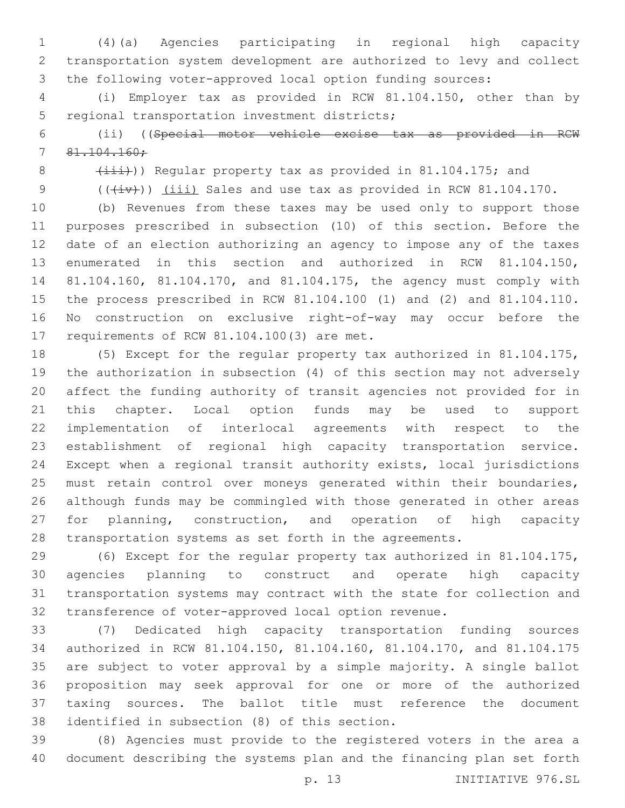(4)(a) Agencies participating in regional high capacity transportation system development are authorized to levy and collect the following voter-approved local option funding sources:

 (i) Employer tax as provided in RCW 81.104.150, other than by 5 regional transportation investment districts;

 (ii) ((Special motor vehicle excise tax as provided in RCW 81.104.160;

8 (iii))) Regular property tax as provided in 81.104.175; and

9  $((+iv))$  (iii) Sales and use tax as provided in RCW 81.104.170.

 (b) Revenues from these taxes may be used only to support those purposes prescribed in subsection (10) of this section. Before the date of an election authorizing an agency to impose any of the taxes enumerated in this section and authorized in RCW 81.104.150, 81.104.160, 81.104.170, and 81.104.175, the agency must comply with the process prescribed in RCW 81.104.100 (1) and (2) and 81.104.110. No construction on exclusive right-of-way may occur before the 17 requirements of RCW 81.104.100(3) are met.

 (5) Except for the regular property tax authorized in 81.104.175, the authorization in subsection (4) of this section may not adversely affect the funding authority of transit agencies not provided for in this chapter. Local option funds may be used to support implementation of interlocal agreements with respect to the establishment of regional high capacity transportation service. Except when a regional transit authority exists, local jurisdictions must retain control over moneys generated within their boundaries, although funds may be commingled with those generated in other areas for planning, construction, and operation of high capacity transportation systems as set forth in the agreements.

 (6) Except for the regular property tax authorized in 81.104.175, agencies planning to construct and operate high capacity transportation systems may contract with the state for collection and transference of voter-approved local option revenue.

 (7) Dedicated high capacity transportation funding sources authorized in RCW 81.104.150, 81.104.160, 81.104.170, and 81.104.175 are subject to voter approval by a simple majority. A single ballot proposition may seek approval for one or more of the authorized taxing sources. The ballot title must reference the document 38 identified in subsection (8) of this section.

 (8) Agencies must provide to the registered voters in the area a document describing the systems plan and the financing plan set forth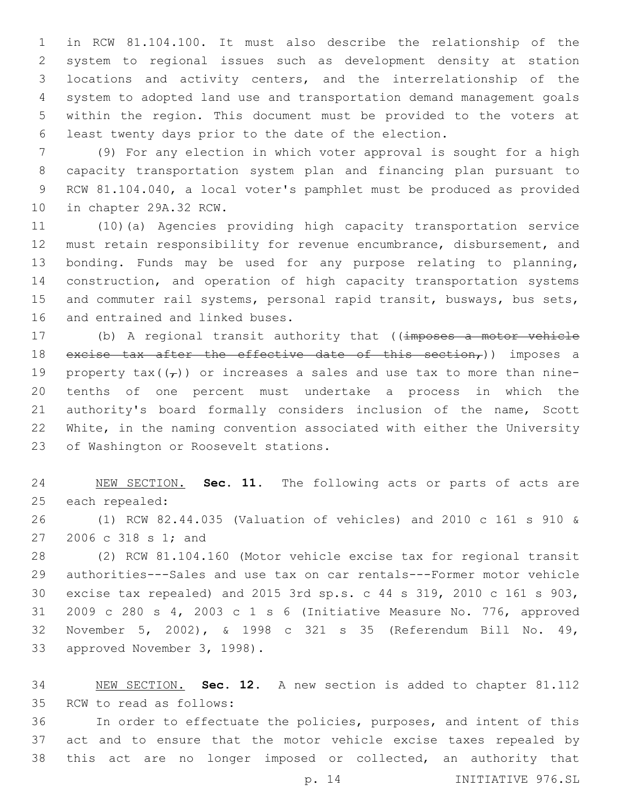in RCW 81.104.100. It must also describe the relationship of the system to regional issues such as development density at station locations and activity centers, and the interrelationship of the system to adopted land use and transportation demand management goals within the region. This document must be provided to the voters at least twenty days prior to the date of the election.

 (9) For any election in which voter approval is sought for a high capacity transportation system plan and financing plan pursuant to RCW 81.104.040, a local voter's pamphlet must be produced as provided 10 in chapter 29A.32 RCW.

 (10)(a) Agencies providing high capacity transportation service must retain responsibility for revenue encumbrance, disbursement, and bonding. Funds may be used for any purpose relating to planning, construction, and operation of high capacity transportation systems and commuter rail systems, personal rapid transit, busways, bus sets, 16 and entrained and linked buses.

17 (b) A regional transit authority that ((imposes a motor vehicle 18 excise tax after the effective date of this section,)) imposes a 19 property tax( $(\tau)$ ) or increases a sales and use tax to more than nine- tenths of one percent must undertake a process in which the authority's board formally considers inclusion of the name, Scott White, in the naming convention associated with either the University 23 of Washington or Roosevelt stations.

 NEW SECTION. **Sec. 11.** The following acts or parts of acts are each repealed:

 (1) RCW 82.44.035 (Valuation of vehicles) and 2010 c 161 s 910 & 27 2006 c 318 s 1; and

 (2) RCW 81.104.160 (Motor vehicle excise tax for regional transit authorities---Sales and use tax on car rentals---Former motor vehicle excise tax repealed) and 2015 3rd sp.s. c 44 s 319, 2010 c 161 s 903, 2009 c 280 s 4, 2003 c 1 s 6 (Initiative Measure No. 776, approved November 5, 2002), & 1998 c 321 s 35 (Referendum Bill No. 49, 33 approved November 3, 1998).

 NEW SECTION. **Sec. 12.** A new section is added to chapter 81.112 35 RCW to read as follows:

 In order to effectuate the policies, purposes, and intent of this act and to ensure that the motor vehicle excise taxes repealed by this act are no longer imposed or collected, an authority that

p. 14 INITIATIVE 976.SL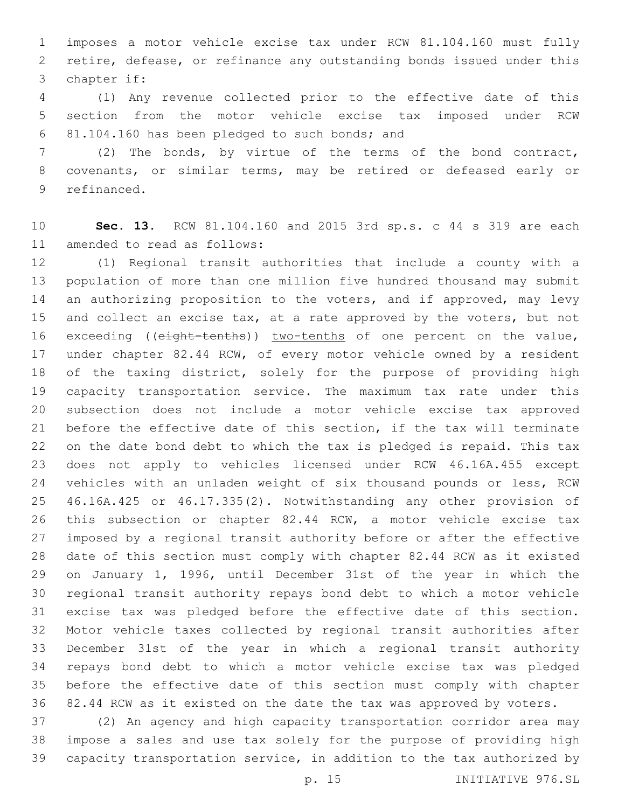imposes a motor vehicle excise tax under RCW 81.104.160 must fully retire, defease, or refinance any outstanding bonds issued under this 3 chapter if:

 (1) Any revenue collected prior to the effective date of this section from the motor vehicle excise tax imposed under RCW 81.104.160 has been pledged to such bonds; and6

 (2) The bonds, by virtue of the terms of the bond contract, covenants, or similar terms, may be retired or defeased early or 9 refinanced.

 **Sec. 13.** RCW 81.104.160 and 2015 3rd sp.s. c 44 s 319 are each 11 amended to read as follows:

 (1) Regional transit authorities that include a county with a population of more than one million five hundred thousand may submit 14 an authorizing proposition to the voters, and if approved, may levy and collect an excise tax, at a rate approved by the voters, but not 16 exceeding ((eight-tenths)) two-tenths of one percent on the value, 17 under chapter 82.44 RCW, of every motor vehicle owned by a resident 18 of the taxing district, solely for the purpose of providing high capacity transportation service. The maximum tax rate under this subsection does not include a motor vehicle excise tax approved before the effective date of this section, if the tax will terminate on the date bond debt to which the tax is pledged is repaid. This tax does not apply to vehicles licensed under RCW 46.16A.455 except vehicles with an unladen weight of six thousand pounds or less, RCW 46.16A.425 or 46.17.335(2). Notwithstanding any other provision of this subsection or chapter 82.44 RCW, a motor vehicle excise tax imposed by a regional transit authority before or after the effective date of this section must comply with chapter 82.44 RCW as it existed on January 1, 1996, until December 31st of the year in which the regional transit authority repays bond debt to which a motor vehicle excise tax was pledged before the effective date of this section. Motor vehicle taxes collected by regional transit authorities after December 31st of the year in which a regional transit authority repays bond debt to which a motor vehicle excise tax was pledged before the effective date of this section must comply with chapter 82.44 RCW as it existed on the date the tax was approved by voters.

 (2) An agency and high capacity transportation corridor area may impose a sales and use tax solely for the purpose of providing high capacity transportation service, in addition to the tax authorized by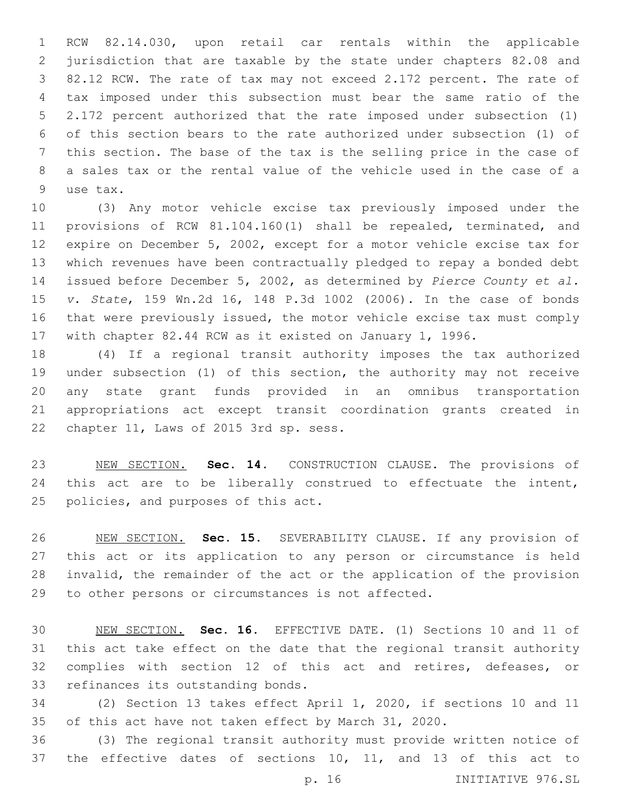RCW 82.14.030, upon retail car rentals within the applicable jurisdiction that are taxable by the state under chapters 82.08 and 82.12 RCW. The rate of tax may not exceed 2.172 percent. The rate of tax imposed under this subsection must bear the same ratio of the 2.172 percent authorized that the rate imposed under subsection (1) of this section bears to the rate authorized under subsection (1) of this section. The base of the tax is the selling price in the case of a sales tax or the rental value of the vehicle used in the case of a 9 use tax.

 (3) Any motor vehicle excise tax previously imposed under the provisions of RCW 81.104.160(1) shall be repealed, terminated, and expire on December 5, 2002, except for a motor vehicle excise tax for which revenues have been contractually pledged to repay a bonded debt issued before December 5, 2002, as determined by *Pierce County et al. v. State*, 159 Wn.2d 16, 148 P.3d 1002 (2006). In the case of bonds that were previously issued, the motor vehicle excise tax must comply with chapter 82.44 RCW as it existed on January 1, 1996.

 (4) If a regional transit authority imposes the tax authorized under subsection (1) of this section, the authority may not receive any state grant funds provided in an omnibus transportation appropriations act except transit coordination grants created in 22 chapter 11, Laws of 2015 3rd sp. sess.

 NEW SECTION. **Sec. 14.** CONSTRUCTION CLAUSE. The provisions of 24 this act are to be liberally construed to effectuate the intent, policies, and purposes of this act.

 NEW SECTION. **Sec. 15.** SEVERABILITY CLAUSE. If any provision of this act or its application to any person or circumstance is held invalid, the remainder of the act or the application of the provision to other persons or circumstances is not affected.

 NEW SECTION. **Sec. 16.** EFFECTIVE DATE. (1) Sections 10 and 11 of this act take effect on the date that the regional transit authority complies with section 12 of this act and retires, defeases, or refinances its outstanding bonds.

 (2) Section 13 takes effect April 1, 2020, if sections 10 and 11 of this act have not taken effect by March 31, 2020.

 (3) The regional transit authority must provide written notice of the effective dates of sections 10, 11, and 13 of this act to

p. 16 INITIATIVE 976.SL